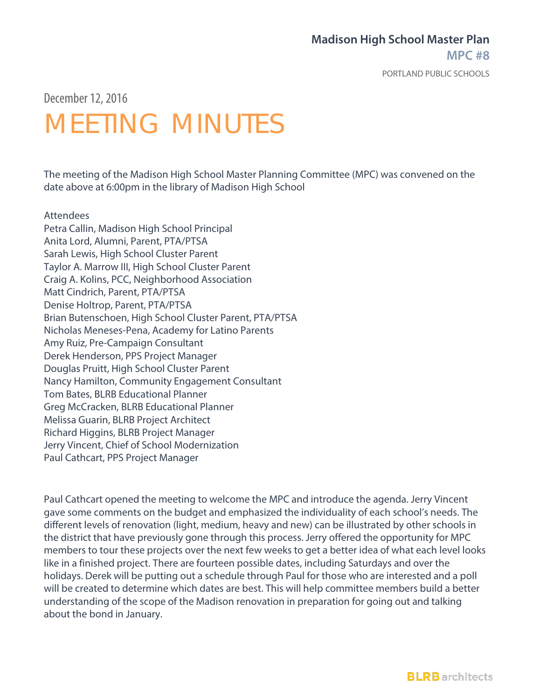### **Madison High School Master Plan**

**MPC #8**

PORTLAND PUBLIC SCHOOLS

December 12,2016

## MEETING MINUTES

The meeting of the Madison High School Master Planning Committee (MPC) was convened on the date above at 6:00pm in the library of Madison High School

#### Attendees

Petra Callin, Madison High School Principal Anita Lord, Alumni, Parent, PTA/PTSA Sarah Lewis, High School Cluster Parent Taylor A. Marrow III, High School Cluster Parent Craig A. Kolins, PCC, Neighborhood Association Matt Cindrich, Parent, PTA/PTSA Denise Holtrop, Parent, PTA/PTSA Brian Butenschoen, High School Cluster Parent, PTA/PTSA Nicholas Meneses-Pena, Academy for Latino Parents Amy Ruiz, Pre-Campaign Consultant Derek Henderson, PPS Project Manager Douglas Pruitt, High School Cluster Parent Nancy Hamilton, Community Engagement Consultant Tom Bates, BLRB Educational Planner Greg McCracken, BLRB Educational Planner Melissa Guarin, BLRB Project Architect Richard Higgins, BLRB Project Manager Jerry Vincent, Chief of School Modernization Paul Cathcart, PPS Project Manager

Paul Cathcart opened the meeting to welcome the MPC and introduce the agenda. Jerry Vincent gave some comments on the budget and emphasized the individuality of each school's needs. The different levels of renovation (light, medium, heavy and new) can be illustrated by other schools in the district that have previously gone through this process. Jerry offered the opportunity for MPC members to tour these projects over the next few weeks to get a better idea of what each level looks like in a finished project. There are fourteen possible dates, including Saturdays and over the holidays. Derek will be putting out a schedule through Paul for those who are interested and a poll will be created to determine which dates are best. This will help committee members build a better understanding of the scope of the Madison renovation in preparation for going out and talking about the bond in January.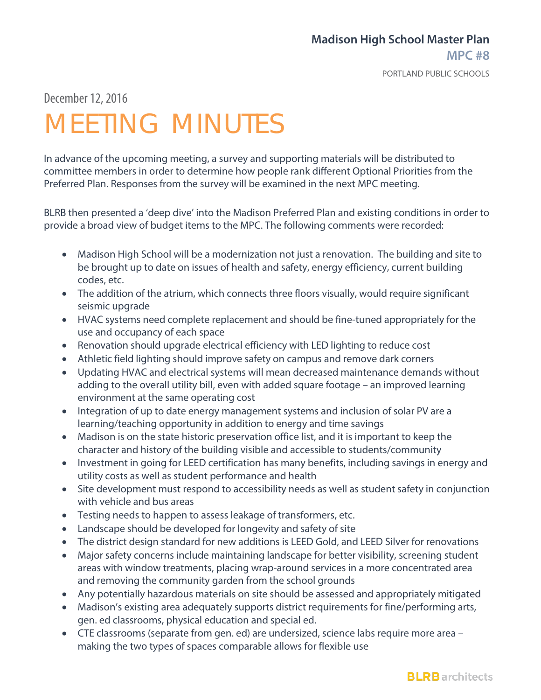#### **Madison High School Master Plan MPC #8**

PORTLAND PUBLIC SCHOOLS

December 12,2016

# MEETING MINUTES

In advance of the upcoming meeting, a survey and supporting materials will be distributed to committee members in order to determine how people rank different Optional Priorities from the Preferred Plan. Responses from the survey will be examined in the next MPC meeting.

BLRB then presented a 'deep dive' into the Madison Preferred Plan and existing conditions in order to provide a broad view of budget items to the MPC. The following comments were recorded:

- Madison High School will be a modernization not just a renovation. The building and site to be brought up to date on issues of health and safety, energy efficiency, current building codes, etc.
- The addition of the atrium, which connects three floors visually, would require significant seismic upgrade
- HVAC systems need complete replacement and should be fine-tuned appropriately for the use and occupancy of each space
- Renovation should upgrade electrical efficiency with LED lighting to reduce cost
- Athletic field lighting should improve safety on campus and remove dark corners
- Updating HVAC and electrical systems will mean decreased maintenance demands without adding to the overall utility bill, even with added square footage – an improved learning environment at the same operating cost
- Integration of up to date energy management systems and inclusion of solar PV are a learning/teaching opportunity in addition to energy and time savings
- Madison is on the state historic preservation office list, and it is important to keep the character and history of the building visible and accessible to students/community
- Investment in going for LEED certification has many benefits, including savings in energy and utility costs as well as student performance and health
- Site development must respond to accessibility needs as well as student safety in conjunction with vehicle and bus areas
- Testing needs to happen to assess leakage of transformers, etc.
- Landscape should be developed for longevity and safety of site
- The district design standard for new additions is LEED Gold, and LEED Silver for renovations
- Major safety concerns include maintaining landscape for better visibility, screening student areas with window treatments, placing wrap-around services in a more concentrated area and removing the community garden from the school grounds
- Any potentially hazardous materials on site should be assessed and appropriately mitigated
- Madison's existing area adequately supports district requirements for fine/performing arts, gen. ed classrooms, physical education and special ed.
- CTE classrooms (separate from gen. ed) are undersized, science labs require more area making the two types of spaces comparable allows for flexible use